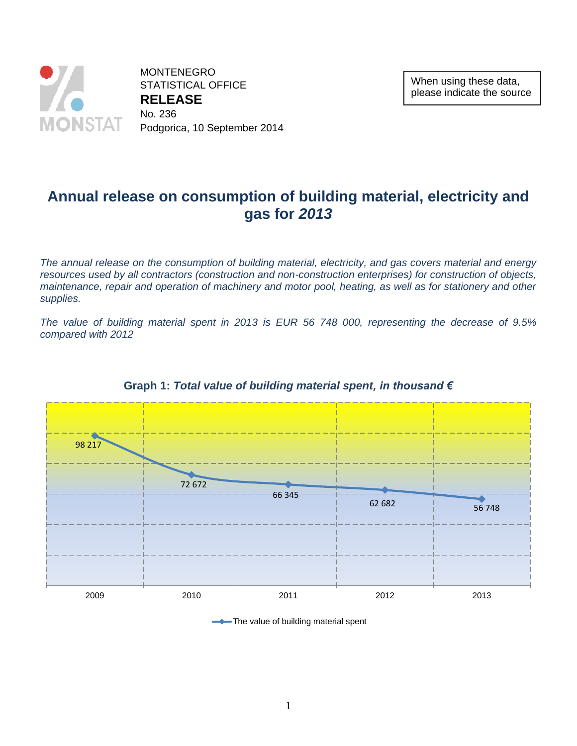

MONTENEGRO STATISTICAL OFFICE **RELEASE**  No. 236 Podgorica, 10 September 2014

When using these data, please indicate the source

# **Annual release on consumption of building material, electricity and gas for** *2013*

*The annual release on the consumption of building material, electricity, and gas covers material and energy*  resources used by all contractors (construction and non-construction enterprises) for construction of objects, *maintenance, repair and operation of machinery and motor pool, heating, as well as for stationery and other supplies.*

*The value of building material spent in 2013 is EUR 56 748 000, representing the decrease of 9.5% compared with 2012*



### **Graph 1:** *Total value of building material spent, in thousand €*

The value of building material spent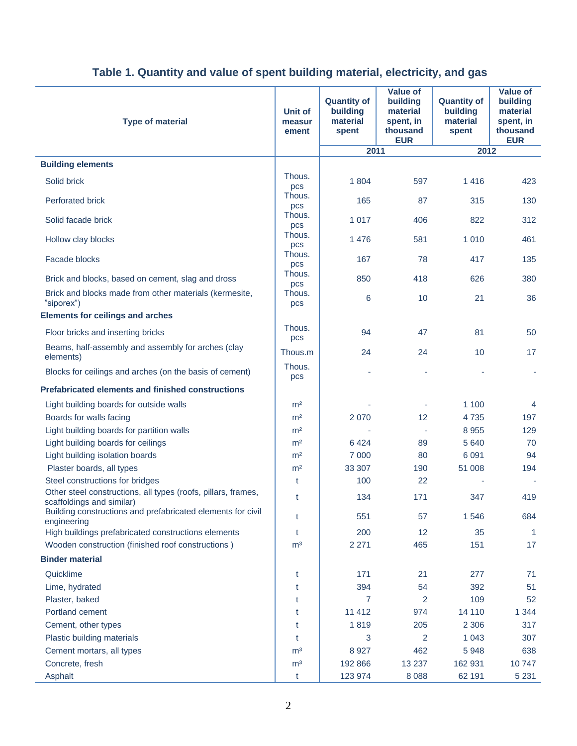| <b>Type of material</b>                                                                    | <b>Unit of</b><br>measur<br>ement | <b>Quantity of</b><br>building<br>material<br>spent | <b>Value of</b><br>building<br>material<br>spent, in<br>thousand<br><b>EUR</b> | <b>Quantity of</b><br>building<br>material<br>spent | <b>Value of</b><br>building<br>material<br>spent, in<br>thousand<br><b>EUR</b> |
|--------------------------------------------------------------------------------------------|-----------------------------------|-----------------------------------------------------|--------------------------------------------------------------------------------|-----------------------------------------------------|--------------------------------------------------------------------------------|
|                                                                                            |                                   | 2011                                                |                                                                                | 2012                                                |                                                                                |
| <b>Building elements</b>                                                                   |                                   |                                                     |                                                                                |                                                     |                                                                                |
| Solid brick                                                                                | Thous.<br>pcs                     | 1804                                                | 597                                                                            | 1416                                                | 423                                                                            |
| <b>Perforated brick</b>                                                                    | Thous.<br>pcs                     | 165                                                 | 87                                                                             | 315                                                 | 130                                                                            |
| Solid facade brick                                                                         | Thous.<br>pcs                     | 1 0 1 7                                             | 406                                                                            | 822                                                 | 312                                                                            |
| Hollow clay blocks                                                                         | Thous.<br>pcs                     | 1 4 7 6                                             | 581                                                                            | 1 0 1 0                                             | 461                                                                            |
| Facade blocks                                                                              | Thous.<br>pcs                     | 167                                                 | 78                                                                             | 417                                                 | 135                                                                            |
| Brick and blocks, based on cement, slag and dross                                          | Thous.<br>pcs                     | 850                                                 | 418                                                                            | 626                                                 | 380                                                                            |
| Brick and blocks made from other materials (kermesite,<br>"siporex")                       | Thous.<br>pcs                     | 6                                                   | 10                                                                             | 21                                                  | 36                                                                             |
| <b>Elements for ceilings and arches</b>                                                    |                                   |                                                     |                                                                                |                                                     |                                                                                |
| Floor bricks and inserting bricks                                                          | Thous.<br>pcs                     | 94                                                  | 47                                                                             | 81                                                  | 50                                                                             |
| Beams, half-assembly and assembly for arches (clay<br>elements)                            | Thous.m                           | 24                                                  | 24                                                                             | 10                                                  | 17                                                                             |
| Blocks for ceilings and arches (on the basis of cement)                                    | Thous.<br>pcs                     |                                                     |                                                                                |                                                     |                                                                                |
| <b>Prefabricated elements and finished constructions</b>                                   |                                   |                                                     |                                                                                |                                                     |                                                                                |
| Light building boards for outside walls                                                    | m <sup>2</sup>                    |                                                     |                                                                                | 1 100                                               | 4                                                                              |
| Boards for walls facing                                                                    | m <sup>2</sup>                    | 2 0 7 0                                             | 12                                                                             | 4 7 3 5                                             | 197                                                                            |
| Light building boards for partition walls                                                  | m <sup>2</sup>                    |                                                     |                                                                                | 8 9 5 5                                             | 129                                                                            |
| Light building boards for ceilings                                                         | m <sup>2</sup>                    | 6424                                                | 89                                                                             | 5 6 4 0                                             | 70                                                                             |
| Light building isolation boards                                                            | m <sup>2</sup>                    | 7 0 0 0                                             | 80                                                                             | 6 0 9 1                                             | 94                                                                             |
| Plaster boards, all types                                                                  | m <sup>2</sup>                    | 33 307                                              | 190                                                                            | 51 008                                              | 194                                                                            |
| Steel constructions for bridges                                                            | t                                 | 100                                                 | 22                                                                             |                                                     |                                                                                |
| Other steel constructions, all types (roofs, pillars, frames,<br>scaffoldings and similar) | t                                 | 134                                                 | 171                                                                            | 347                                                 | 419                                                                            |
| Building constructions and prefabricated elements for civil<br>engineering                 | t                                 | 551                                                 | 57                                                                             | 1 546                                               | 684                                                                            |
| High buildings prefabricated constructions elements                                        | t                                 | 200                                                 | 12                                                                             | 35                                                  | $\mathbf{1}$                                                                   |
| Wooden construction (finished roof constructions)                                          | m <sup>3</sup>                    | 2 2 7 1                                             | 465                                                                            | 151                                                 | 17                                                                             |
| <b>Binder material</b>                                                                     |                                   |                                                     |                                                                                |                                                     |                                                                                |
| Quicklime                                                                                  | t                                 | 171                                                 | 21                                                                             | 277                                                 | 71                                                                             |
| Lime, hydrated                                                                             | t                                 | 394                                                 | 54                                                                             | 392                                                 | 51                                                                             |
| Plaster, baked                                                                             | t                                 | $\overline{7}$                                      | $\overline{2}$                                                                 | 109                                                 | 52                                                                             |
| Portland cement                                                                            | t                                 | 11 4 12                                             | 974                                                                            | 14 110                                              | 1 3 4 4                                                                        |
| Cement, other types                                                                        | t                                 | 1819                                                | 205                                                                            | 2 3 0 6                                             | 317                                                                            |
| Plastic building materials                                                                 | t                                 | 3                                                   | $\overline{2}$                                                                 | 1 0 4 3                                             | 307                                                                            |
| Cement mortars, all types                                                                  | m <sup>3</sup>                    | 8 9 27                                              | 462                                                                            | 5 9 4 8                                             | 638                                                                            |
| Concrete, fresh                                                                            | m <sup>3</sup>                    | 192 866                                             | 13 2 3 7                                                                       | 162 931                                             | 10747                                                                          |
| Asphalt                                                                                    | t                                 | 123 974                                             | 8 0 8 8                                                                        | 62 191                                              | 5 2 3 1                                                                        |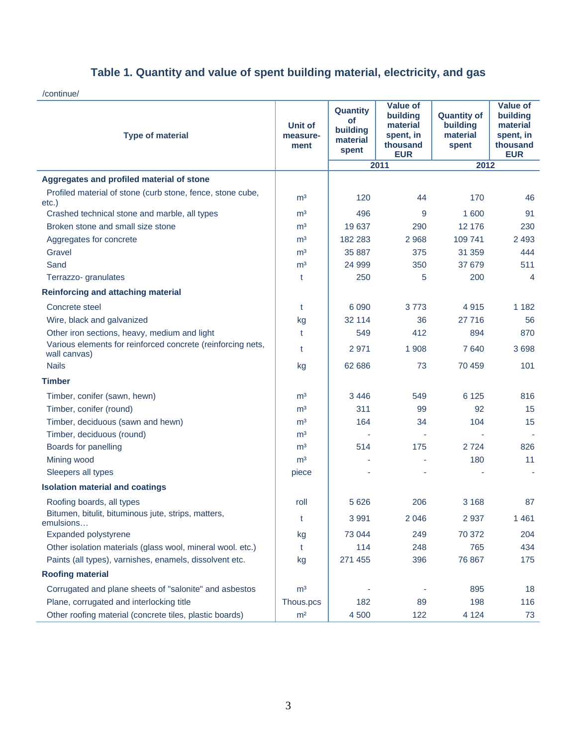/continue/

| <b>Type of material</b>                                                     | Unit of<br>measure-<br>ment | Quantity<br>οf<br>building<br>material<br>spent | <b>Value of</b><br>building<br>material<br>spent, in<br>thousand<br><b>EUR</b> | <b>Quantity of</b><br>building<br>material<br>spent | <b>Value of</b><br>building<br>material<br>spent, in<br>thousand<br><b>EUR</b> |
|-----------------------------------------------------------------------------|-----------------------------|-------------------------------------------------|--------------------------------------------------------------------------------|-----------------------------------------------------|--------------------------------------------------------------------------------|
|                                                                             |                             |                                                 | 2011                                                                           | 2012                                                |                                                                                |
| Aggregates and profiled material of stone                                   |                             |                                                 |                                                                                |                                                     |                                                                                |
| Profiled material of stone (curb stone, fence, stone cube,<br>$etc.$ )      | m <sup>3</sup>              | 120                                             | 44                                                                             | 170                                                 | 46                                                                             |
| Crashed technical stone and marble, all types                               | m <sup>3</sup>              | 496                                             | 9                                                                              | 1 600                                               | 91                                                                             |
| Broken stone and small size stone                                           | m <sup>3</sup>              | 19 637                                          | 290                                                                            | 12 176                                              | 230                                                                            |
| Aggregates for concrete                                                     | m <sup>3</sup>              | 182 283                                         | 2 9 6 8                                                                        | 109 741                                             | 2 4 9 3                                                                        |
| Gravel                                                                      | m <sup>3</sup>              | 35 887                                          | 375                                                                            | 31 359                                              | 444                                                                            |
| Sand                                                                        | m <sup>3</sup>              | 24 999                                          | 350                                                                            | 37 679                                              | 511                                                                            |
| Terrazzo- granulates                                                        | t                           | 250                                             | 5                                                                              | 200                                                 | 4                                                                              |
| <b>Reinforcing and attaching material</b>                                   |                             |                                                 |                                                                                |                                                     |                                                                                |
| Concrete steel                                                              | t                           | 6 0 9 0                                         | 3773                                                                           | 4915                                                | 1 1 8 2                                                                        |
| Wire, black and galvanized                                                  | kg                          | 32 114                                          | 36                                                                             | 27 716                                              | 56                                                                             |
| Other iron sections, heavy, medium and light                                | t                           | 549                                             | 412                                                                            | 894                                                 | 870                                                                            |
| Various elements for reinforced concrete (reinforcing nets,<br>wall canvas) | t                           | 2971                                            | 1 9 0 8                                                                        | 7640                                                | 3698                                                                           |
| <b>Nails</b>                                                                | kg                          | 62 686                                          | 73                                                                             | 70 459                                              | 101                                                                            |
| <b>Timber</b>                                                               |                             |                                                 |                                                                                |                                                     |                                                                                |
| Timber, conifer (sawn, hewn)                                                | m <sup>3</sup>              | 3 4 4 6                                         | 549                                                                            | 6 1 2 5                                             | 816                                                                            |
| Timber, conifer (round)                                                     | m <sup>3</sup>              | 311                                             | 99                                                                             | 92                                                  | 15                                                                             |
| Timber, deciduous (sawn and hewn)                                           | m <sup>3</sup>              | 164                                             | 34                                                                             | 104                                                 | 15                                                                             |
| Timber, deciduous (round)                                                   | m <sup>3</sup>              |                                                 |                                                                                |                                                     |                                                                                |
| Boards for panelling                                                        | m <sup>3</sup>              | 514                                             | 175                                                                            | 2724                                                | 826                                                                            |
| Mining wood                                                                 | m <sup>3</sup>              |                                                 |                                                                                | 180                                                 | 11                                                                             |
| Sleepers all types                                                          | piece                       |                                                 |                                                                                |                                                     |                                                                                |
| <b>Isolation material and coatings</b>                                      |                             |                                                 |                                                                                |                                                     |                                                                                |
| Roofing boards, all types                                                   | roll                        | 5 6 2 6                                         | 206                                                                            | 3 1 6 8                                             | 87                                                                             |
| Bitumen, bitulit, bituminous jute, strips, matters,<br>emulsions            | t                           | 3 9 9 1                                         | 2 0 4 6                                                                        | 2937                                                | 1461                                                                           |
| Expanded polystyrene                                                        | kg                          | 73 044                                          | 249                                                                            | 70 372                                              | 204                                                                            |
| Other isolation materials (glass wool, mineral wool. etc.)                  | t                           | 114                                             | 248                                                                            | 765                                                 | 434                                                                            |
| Paints (all types), varnishes, enamels, dissolvent etc.                     | kg                          | 271 455                                         | 396                                                                            | 76 867                                              | 175                                                                            |
| <b>Roofing material</b>                                                     |                             |                                                 |                                                                                |                                                     |                                                                                |
| Corrugated and plane sheets of "salonite" and asbestos                      | m <sup>3</sup>              |                                                 |                                                                                | 895                                                 | 18                                                                             |
| Plane, corrugated and interlocking title                                    | Thous.pcs                   | 182                                             | 89                                                                             | 198                                                 | 116                                                                            |
| Other roofing material (concrete tiles, plastic boards)                     | m <sup>2</sup>              | 4 500                                           | 122                                                                            | 4 1 2 4                                             | 73                                                                             |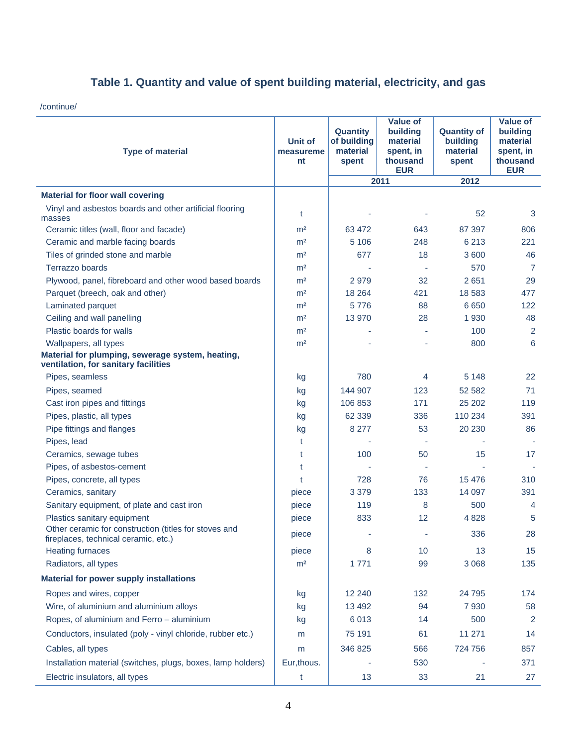/continue/

| <b>Type of material</b>                                                                                           | <b>Unit of</b><br>measureme<br>nt | <b>Quantity</b><br>of building<br>material<br>spent | <b>Value of</b><br>building<br>material<br>spent, in<br>thousand<br><b>EUR</b> | <b>Quantity of</b><br>building<br>material<br>spent | <b>Value of</b><br>building<br>material<br>spent, in<br>thousand<br><b>EUR</b> |
|-------------------------------------------------------------------------------------------------------------------|-----------------------------------|-----------------------------------------------------|--------------------------------------------------------------------------------|-----------------------------------------------------|--------------------------------------------------------------------------------|
|                                                                                                                   |                                   |                                                     | 2011                                                                           | 2012                                                |                                                                                |
| <b>Material for floor wall covering</b>                                                                           |                                   |                                                     |                                                                                |                                                     |                                                                                |
| Vinyl and asbestos boards and other artificial flooring                                                           | t                                 |                                                     |                                                                                | 52                                                  | 3                                                                              |
| masses                                                                                                            |                                   |                                                     |                                                                                |                                                     |                                                                                |
| Ceramic titles (wall, floor and facade)                                                                           | m <sup>2</sup>                    | 63 472                                              | 643                                                                            | 87 397                                              | 806                                                                            |
| Ceramic and marble facing boards                                                                                  | m <sup>2</sup>                    | 5 1 0 6                                             | 248                                                                            | 6 2 1 3                                             | 221                                                                            |
| Tiles of grinded stone and marble                                                                                 | m <sup>2</sup>                    | 677                                                 | 18                                                                             | 3 600                                               | 46                                                                             |
| Terrazzo boards                                                                                                   | m <sup>2</sup>                    |                                                     |                                                                                | 570                                                 | 7                                                                              |
| Plywood, panel, fibreboard and other wood based boards                                                            | m <sup>2</sup>                    | 2979                                                | 32                                                                             | 2651                                                | 29                                                                             |
| Parquet (breech, oak and other)                                                                                   | m <sup>2</sup>                    | 18 2 64                                             | 421                                                                            | 18 5 83                                             | 477                                                                            |
| Laminated parquet<br>Ceiling and wall panelling                                                                   | m <sup>2</sup>                    | 5776                                                | 88                                                                             | 6650                                                | 122                                                                            |
| Plastic boards for walls                                                                                          | m <sup>2</sup>                    | 13 970                                              | 28                                                                             | 1 9 3 0<br>100                                      | 48                                                                             |
|                                                                                                                   | m <sup>2</sup>                    |                                                     |                                                                                |                                                     | $\overline{2}$                                                                 |
| Wallpapers, all types<br>Material for plumping, sewerage system, heating,<br>ventilation, for sanitary facilities | m <sup>2</sup>                    |                                                     |                                                                                | 800                                                 | 6                                                                              |
| Pipes, seamless                                                                                                   | kg                                | 780                                                 | 4                                                                              | 5 1 4 8                                             | 22                                                                             |
| Pipes, seamed                                                                                                     | kg                                | 144 907                                             | 123                                                                            | 52 582                                              | 71                                                                             |
| Cast iron pipes and fittings                                                                                      | kg                                | 106 853                                             | 171                                                                            | 25 20 2                                             | 119                                                                            |
| Pipes, plastic, all types                                                                                         | kg                                | 62 3 39                                             | 336                                                                            | 110 234                                             | 391                                                                            |
| Pipe fittings and flanges                                                                                         | kg                                | 8 2 7 7                                             | 53                                                                             | 20 230                                              | 86                                                                             |
| Pipes, lead                                                                                                       | t                                 |                                                     |                                                                                |                                                     |                                                                                |
| Ceramics, sewage tubes                                                                                            | t                                 | 100                                                 | 50                                                                             | 15                                                  | 17                                                                             |
| Pipes, of asbestos-cement                                                                                         | t                                 |                                                     |                                                                                |                                                     |                                                                                |
| Pipes, concrete, all types                                                                                        | t                                 | 728                                                 | 76                                                                             | 15 4 76                                             | 310                                                                            |
| Ceramics, sanitary                                                                                                | piece                             | 3 3 7 9                                             | 133                                                                            | 14 097                                              | 391                                                                            |
| Sanitary equipment, of plate and cast iron                                                                        | piece                             | 119                                                 | 8                                                                              | 500                                                 | 4                                                                              |
| Plastics sanitary equipment                                                                                       | piece                             | 833                                                 | 12                                                                             | 4 8 28                                              | 5                                                                              |
| Other ceramic for construction (titles for stoves and<br>fireplaces, technical ceramic, etc.)                     | piece                             |                                                     |                                                                                | 336                                                 | 28                                                                             |
| <b>Heating furnaces</b>                                                                                           | piece                             | 8                                                   | 10                                                                             | 13                                                  | 15                                                                             |
| Radiators, all types                                                                                              | m <sup>2</sup>                    | 1771                                                | 99                                                                             | 3 0 6 8                                             | 135                                                                            |
| <b>Material for power supply installations</b>                                                                    |                                   |                                                     |                                                                                |                                                     |                                                                                |
| Ropes and wires, copper                                                                                           |                                   | 12 240                                              | 132                                                                            | 24 7 9 5                                            | 174                                                                            |
| Wire, of aluminium and aluminium alloys                                                                           | kg<br>kg                          | 13 4 9 2                                            | 94                                                                             | 7930                                                | 58                                                                             |
| Ropes, of aluminium and Ferro - aluminium                                                                         | kg                                | 6013                                                | 14                                                                             | 500                                                 | $\overline{2}$                                                                 |
|                                                                                                                   |                                   |                                                     |                                                                                |                                                     |                                                                                |
| Conductors, insulated (poly - vinyl chloride, rubber etc.)                                                        | m                                 | 75 191                                              | 61                                                                             | 11 271                                              | 14                                                                             |
| Cables, all types                                                                                                 | m                                 | 346 825                                             | 566                                                                            | 724 756                                             | 857                                                                            |
| Installation material (switches, plugs, boxes, lamp holders)                                                      | Eur, thous.                       |                                                     | 530                                                                            |                                                     | 371                                                                            |
| Electric insulators, all types                                                                                    | t                                 | 13                                                  | 33                                                                             | 21                                                  | 27                                                                             |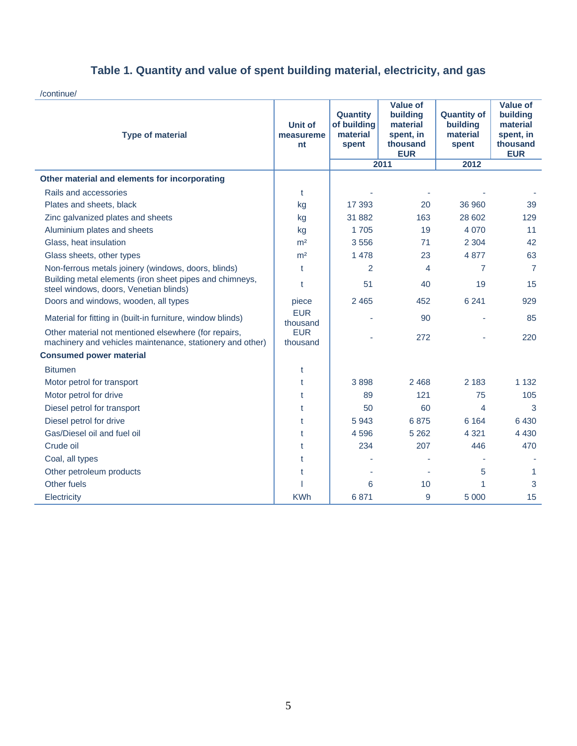/continue/

| <b>Type of material</b>                                                                                           | <b>Unit of</b><br>measureme<br>nt | Quantity<br>of building<br>material<br>spent | <b>Value of</b><br>building<br>material<br>spent, in<br>thousand<br><b>EUR</b> | <b>Quantity of</b><br>building<br>material<br>spent<br>2012 | <b>Value of</b><br>building<br>material<br>spent, in<br>thousand<br><b>EUR</b> |
|-------------------------------------------------------------------------------------------------------------------|-----------------------------------|----------------------------------------------|--------------------------------------------------------------------------------|-------------------------------------------------------------|--------------------------------------------------------------------------------|
|                                                                                                                   |                                   |                                              | 2011                                                                           |                                                             |                                                                                |
| Other material and elements for incorporating                                                                     |                                   |                                              |                                                                                |                                                             |                                                                                |
| Rails and accessories                                                                                             | t                                 |                                              |                                                                                |                                                             |                                                                                |
| Plates and sheets, black                                                                                          | kg                                | 17 393                                       | 20                                                                             | 36 960                                                      | 39                                                                             |
| Zinc galvanized plates and sheets                                                                                 | kg                                | 31 882                                       | 163                                                                            | 28 602                                                      | 129                                                                            |
| Aluminium plates and sheets                                                                                       | kg                                | 1705                                         | 19                                                                             | 4 0 7 0                                                     | 11                                                                             |
| Glass, heat insulation                                                                                            | m <sup>2</sup>                    | 3556                                         | 71                                                                             | 2 3 0 4                                                     | 42                                                                             |
| Glass sheets, other types                                                                                         | m <sup>2</sup>                    | 1 4 7 8                                      | 23                                                                             | 4 8 7 7                                                     | 63                                                                             |
| Non-ferrous metals joinery (windows, doors, blinds)                                                               | t                                 | 2                                            | 4                                                                              | 7                                                           | $\overline{7}$                                                                 |
| Building metal elements (iron sheet pipes and chimneys,<br>steel windows, doors, Venetian blinds)                 | t                                 | 51                                           | 40                                                                             | 19                                                          | 15                                                                             |
| Doors and windows, wooden, all types                                                                              | piece                             | 2 4 6 5                                      | 452                                                                            | 6 2 4 1                                                     | 929                                                                            |
| Material for fitting in (built-in furniture, window blinds)                                                       | <b>EUR</b><br>thousand            |                                              | 90                                                                             |                                                             | 85                                                                             |
| Other material not mentioned elsewhere (for repairs,<br>machinery and vehicles maintenance, stationery and other) | <b>EUR</b><br>thousand            |                                              | 272                                                                            |                                                             | 220                                                                            |
| <b>Consumed power material</b>                                                                                    |                                   |                                              |                                                                                |                                                             |                                                                                |
| <b>Bitumen</b>                                                                                                    | t                                 |                                              |                                                                                |                                                             |                                                                                |
| Motor petrol for transport                                                                                        | t                                 | 3898                                         | 2 4 6 8                                                                        | 2 1 8 3                                                     | 1 1 3 2                                                                        |
| Motor petrol for drive                                                                                            | t                                 | 89                                           | 121                                                                            | 75                                                          | 105                                                                            |
| Diesel petrol for transport                                                                                       | t                                 | 50                                           | 60                                                                             | 4                                                           | 3                                                                              |
| Diesel petrol for drive                                                                                           | t                                 | 5943                                         | 6875                                                                           | 6 1 6 4                                                     | 6430                                                                           |
| Gas/Diesel oil and fuel oil                                                                                       | t                                 | 4596                                         | 5 2 6 2                                                                        | 4 3 2 1                                                     | 4 4 3 0                                                                        |
| Crude oil                                                                                                         | t                                 | 234                                          | 207                                                                            | 446                                                         | 470                                                                            |
| Coal, all types                                                                                                   | t                                 |                                              |                                                                                |                                                             |                                                                                |
| Other petroleum products                                                                                          | t                                 |                                              |                                                                                | 5                                                           | 1                                                                              |
| Other fuels                                                                                                       |                                   | 6                                            | 10                                                                             | 1                                                           | 3                                                                              |
| Electricity                                                                                                       | <b>KWh</b>                        | 6871                                         | 9                                                                              | 5 0 0 0                                                     | 15                                                                             |